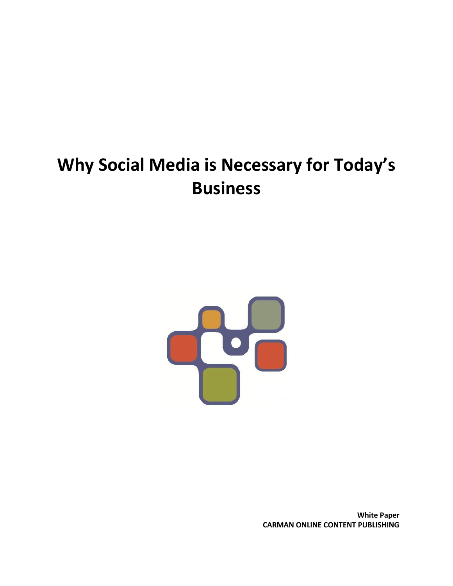## **Why Social Media is Necessary for Today's Business**



**White Paper CARMAN ONLINE CONTENT PUBLISHING**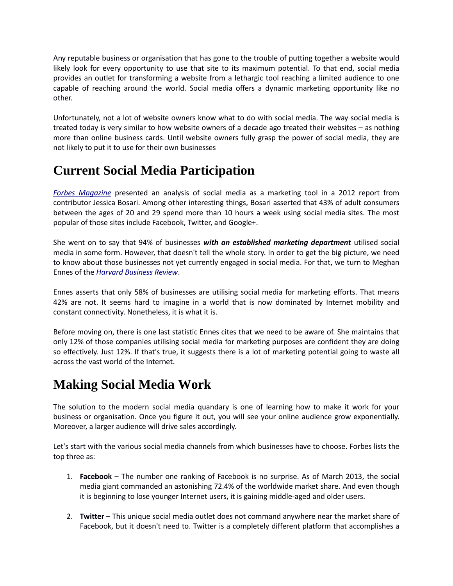Any reputable business or organisation that has gone to the trouble of putting together a website would likely look for every opportunity to use that site to its maximum potential. To that end, social media provides an outlet for transforming a website from a lethargic tool reaching a limited audience to one capable of reaching around the world. Social media offers a dynamic marketing opportunity like no other.

Unfortunately, not a lot of website owners know what to do with social media. The way social media is treated today is very similar to how website owners of a decade ago treated their websites – as nothing more than online business cards. Until website owners fully grasp the power of social media, they are not likely to put it to use for their own businesses

## **Current Social Media Participation**

*[Forbes Magazine](http://www.forbes.com/sites/moneywisewomen/2012/08/08/the-developing-role-of-social-media-in-the-modern-business-world/)* presented an analysis of social media as a marketing tool in a 2012 report from contributor Jessica Bosari. Among other interesting things, Bosari asserted that 43% of adult consumers between the ages of 20 and 29 spend more than 10 hours a week using social media sites. The most popular of those sites include Facebook, Twitter, and Google+.

She went on to say that 94% of businesses *with an established marketing department* utilised social media in some form. However, that doesn't tell the whole story. In order to get the big picture, we need to know about those businesses not yet currently engaged in social media. For that, we turn to Meghan Ennes of the *[Harvard Business Review](http://hbr.org/web/slideshows/social-media-what-most-companies-dont-know/1-slide)*.

Ennes asserts that only 58% of businesses are utilising social media for marketing efforts. That means 42% are not. It seems hard to imagine in a world that is now dominated by Internet mobility and constant connectivity. Nonetheless, it is what it is.

Before moving on, there is one last statistic Ennes cites that we need to be aware of. She maintains that only 12% of those companies utilising social media for marketing purposes are confident they are doing so effectively. Just 12%. If that's true, it suggests there is a lot of marketing potential going to waste all across the vast world of the Internet.

## **Making Social Media Work**

The solution to the modern social media quandary is one of learning how to make it work for your business or organisation. Once you figure it out, you will see your online audience grow exponentially. Moreover, a larger audience will drive sales accordingly.

Let's start with the various social media channels from which businesses have to choose. Forbes lists the top three as:

- 1. **Facebook** The number one ranking of Facebook is no surprise. As of March 2013, the social media giant commanded an astonishing 72.4% of the worldwide market share. And even though it is beginning to lose younger Internet users, it is gaining middle-aged and older users.
- 2. **Twitter** This unique social media outlet does not command anywhere near the market share of Facebook, but it doesn't need to. Twitter is a completely different platform that accomplishes a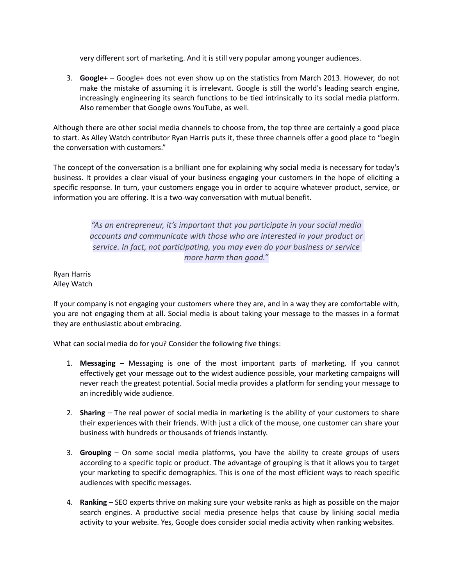very different sort of marketing. And it is still very popular among younger audiences.

3. **Google+** – Google+ does not even show up on the statistics from March 2013. However, do not make the mistake of assuming it is irrelevant. Google is still the world's leading search engine, increasingly engineering its search functions to be tied intrinsically to its social media platform. Also remember that Google owns YouTube, as well.

Although there are other social media channels to choose from, the top three are certainly a good place to start. As Alley Watch contributor Ryan Harris puts it, these three channels offer a good place to "begin the conversation with customers."

The concept of the conversation is a brilliant one for explaining why social media is necessary for today's business. It provides a clear visual of your business engaging your customers in the hope of eliciting a specific response. In turn, your customers engage you in order to acquire whatever product, service, or information you are offering. It is a two-way conversation with mutual benefit.

> *"As an entrepreneur, it's important that you participate in your social media accounts and communicate with those who are interested in your product or service. In fact, not participating, you may even do your business or service more harm than good."*

Ryan Harris Alley Watch

If your company is not engaging your customers where they are, and in a way they are comfortable with, you are not engaging them at all. Social media is about taking your message to the masses in a format they are enthusiastic about embracing.

What can social media do for you? Consider the following five things:

- 1. **Messaging** Messaging is one of the most important parts of marketing. If you cannot effectively get your message out to the widest audience possible, your marketing campaigns will never reach the greatest potential. Social media provides a platform for sending your message to an incredibly wide audience.
- 2. **Sharing** The real power of social media in marketing is the ability of your customers to share their experiences with their friends. With just a click of the mouse, one customer can share your business with hundreds or thousands of friends instantly.
- 3. **Grouping** On some social media platforms, you have the ability to create groups of users according to a specific topic or product. The advantage of grouping is that it allows you to target your marketing to specific demographics. This is one of the most efficient ways to reach specific audiences with specific messages.
- 4. **Ranking** SEO experts thrive on making sure your website ranks as high as possible on the major search engines. A productive social media presence helps that cause by linking social media activity to your website. Yes, Google does consider social media activity when ranking websites.